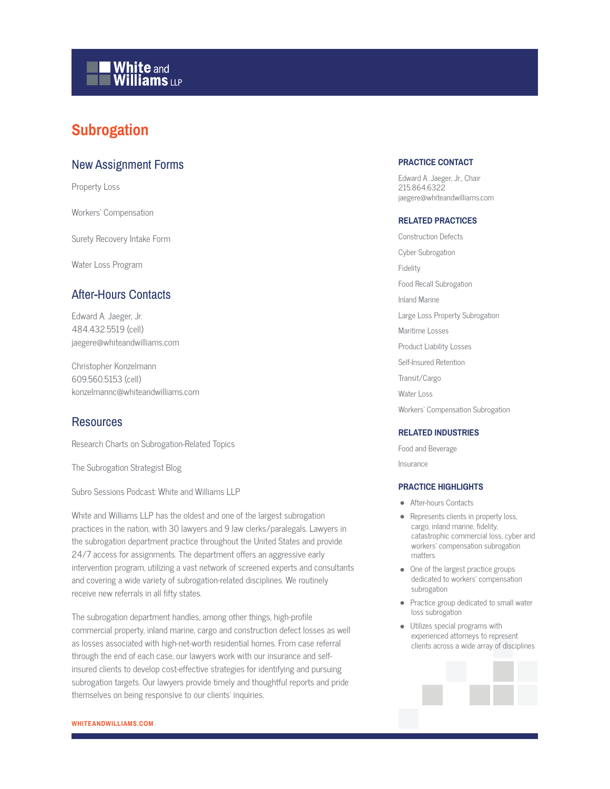## **White and Williams LLP**

## **Subrogation**

## New Assignment Forms

Property Loss

Workers' Compensation

Surety Recovery Intake Form

Water Loss Program

## After-Hours Contacts

Edward A. Jaeger, Jr. 484.432.5519 (cell) jaegere@whiteandwilliams.com

Christopher Konzelmann 609.560.5153 (cell) konzelmannc@whiteandwilliams.com

## **Resources**

Research Charts on Subrogation-Related Topics

The Subrogation Strategist Blog

Subro Sessions Podcast: White and Williams LLP

White and Williams LLP has the oldest and one of the largest subrogation practices in the nation, with 30 lawyers and 9 law clerks/paralegals. Lawyers in the subrogation department practice throughout the United States and provide 24/7 access for assignments. The department offers an aggressive early intervention program, utilizing a vast network of screened experts and consultants and covering a wide variety of subrogation-related disciplines. We routinely receive new referrals in all fifty states.

The subrogation department handles, among other things, high-profile commercial property, inland marine, cargo and construction defect losses as well as losses associated with high-net-worth residential homes. From case referral through the end of each case, our lawyers work with our insurance and selfinsured clients to develop cost-effective strategies for identifying and pursuing subrogation targets. Our lawyers provide timely and thoughtful reports and pride themselves on being responsive to our clients' inquiries.

## **PRACTICE CONTACT**

Edward A. Jaeger, Jr., Chair 215.864.6322 jaegere@whiteandwilliams.com

#### **RELATED PRACTICES**

Construction Defects Cyber Subrogation Fidelity Food Recall Subrogation Inland Marine Large Loss Property Subrogation Maritime Losses Product Liability Losses Self-Insured Retention Transit/Cargo Water Loss Workers' Compensation Subrogation

#### **RELATED INDUSTRIES**

Food and Beverage Insurance

#### **PRACTICE HIGHLIGHTS**

- After-hours Contacts
- Represents clients in property loss, cargo, inland marine, fidelity, catastrophic commercial loss, cyber and workers' compensation subrogation matters
- One of the largest practice groups dedicated to workers' compensation subrogation
- Practice group dedicated to small water loss subrogation
- Utilizes special programs with experienced attorneys to represent clients across a wide array of disciplines

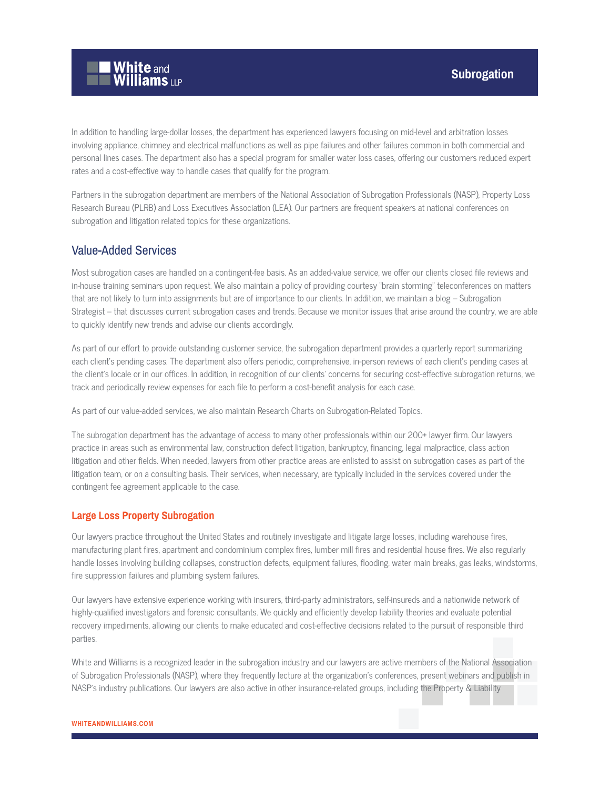

In addition to handling large-dollar losses, the department has experienced lawyers focusing on mid-level and arbitration losses involving appliance, chimney and electrical malfunctions as well as pipe failures and other failures common in both commercial and personal lines cases. The department also has a special program for smaller water loss cases, offering our customers reduced expert rates and a cost-effective way to handle cases that qualify for the program.

Partners in the subrogation department are members of the National Association of Subrogation Professionals (NASP), Property Loss Research Bureau (PLRB) and Loss Executives Association (LEA). Our partners are frequent speakers at national conferences on subrogation and litigation related topics for these organizations.

## Value-Added Services

Most subrogation cases are handled on a contingent-fee basis. As an added-value service, we offer our clients closed file reviews and in-house training seminars upon request. We also maintain a policy of providing courtesy "brain storming" teleconferences on matters that are not likely to turn into assignments but are of importance to our clients. In addition, we maintain a blog – Subrogation Strategist – that discusses current subrogation cases and trends. Because we monitor issues that arise around the country, we are able to quickly identify new trends and advise our clients accordingly.

As part of our effort to provide outstanding customer service, the subrogation department provides a quarterly report summarizing each client's pending cases. The department also offers periodic, comprehensive, in-person reviews of each client's pending cases at the client's locale or in our offices. In addition, in recognition of our clients' concerns for securing cost-effective subrogation returns, we track and periodically review expenses for each file to perform a cost-benefit analysis for each case.

As part of our value-added services, we also maintain Research Charts on Subrogation-Related Topics.

The subrogation department has the advantage of access to many other professionals within our 200+ lawyer firm. Our lawyers practice in areas such as environmental law, construction defect litigation, bankruptcy, financing, legal malpractice, class action litigation and other fields. When needed, lawyers from other practice areas are enlisted to assist on subrogation cases as part of the litigation team, or on a consulting basis. Their services, when necessary, are typically included in the services covered under the contingent fee agreement applicable to the case.

#### **Large Loss Property Subrogation**

Our lawyers practice throughout the United States and routinely investigate and litigate large losses, including warehouse fires, manufacturing plant fires, apartment and condominium complex fires, lumber mill fires and residential house fires. We also regularly handle losses involving building collapses, construction defects, equipment failures, flooding, water main breaks, gas leaks, windstorms, fire suppression failures and plumbing system failures.

Our lawyers have extensive experience working with insurers, third-party administrators, self-insureds and a nationwide network of highly-qualified investigators and forensic consultants. We quickly and efficiently develop liability theories and evaluate potential recovery impediments, allowing our clients to make educated and cost-effective decisions related to the pursuit of responsible third parties.

White and Williams is a recognized leader in the subrogation industry and our lawyers are active members of the National Association of Subrogation Professionals (NASP), where they frequently lecture at the organization's conferences, present webinars and publish in NASP's industry publications. Our lawyers are also active in other insurance-related groups, including the Property & Liability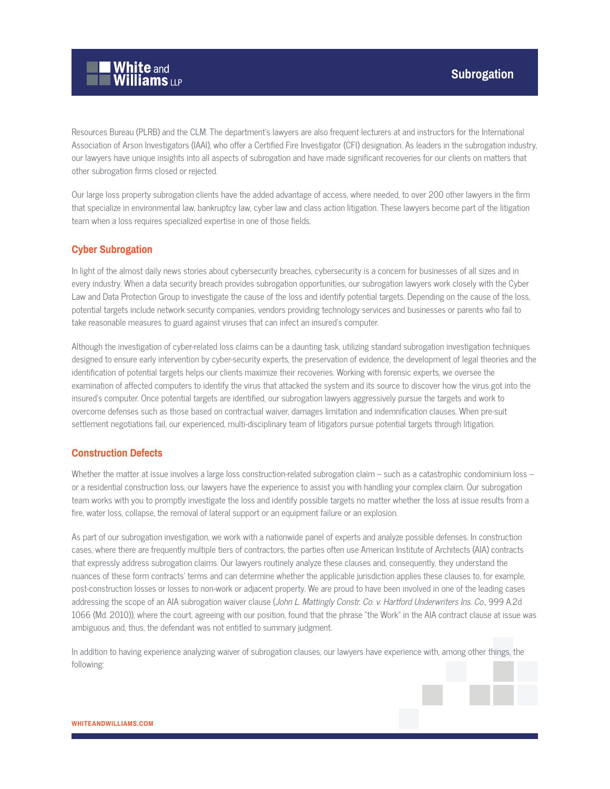

Resources Bureau (PLRB) and the CLM. The department's lawyers are also frequent lecturers at and instructors for the International Association of Arson Investigators (IAAI), who offer a Certified Fire Investigator (CFI) designation. As leaders in the subrogation industry, our lawyers have unique insights into all aspects of subrogation and have made significant recoveries for our clients on matters that other subrogation firms closed or rejected.

Our large loss property subrogation clients have the added advantage of access, where needed, to over 200 other lawyers in the firm that specialize in environmental law, bankruptcy law, cyber law and class action litigation. These lawyers become part of the litigation team when a loss requires specialized expertise in one of those fields.

## **Cyber Subrogation**

In light of the almost daily news stories about cybersecurity breaches, cybersecurity is a concern for businesses of all sizes and in every industry. When a data security breach provides subrogation opportunities, our subrogation lawyers work closely with the Cyber Law and Data Protection Group to investigate the cause of the loss and identify potential targets. Depending on the cause of the loss, potential targets include network security companies, vendors providing technology services and businesses or parents who fail to take reasonable measures to guard against viruses that can infect an insured's computer.

Although the investigation of cyber-related loss claims can be a daunting task, utilizing standard subrogation investigation techniques designed to ensure early intervention by cyber-security experts, the preservation of evidence, the development of legal theories and the identification of potential targets helps our clients maximize their recoveries. Working with forensic experts, we oversee the examination of affected computers to identify the virus that attacked the system and its source to discover how the virus got into the insured's computer. Once potential targets are identified, our subrogation lawyers aggressively pursue the targets and work to overcome defenses such as those based on contractual waiver, damages limitation and indemnification clauses. When pre-suit settlement negotiations fail, our experienced, multi-disciplinary team of litigators pursue potential targets through litigation.

## **Construction Defects**

Whether the matter at issue involves a large loss construction-related subrogation claim – such as a catastrophic condominium loss – or a residential construction loss, our lawyers have the experience to assist you with handling your complex claim. Our subrogation team works with you to promptly investigate the loss and identify possible targets no matter whether the loss at issue results from a fire, water loss, collapse, the removal of lateral support or an equipment failure or an explosion.

As part of our subrogation investigation, we work with a nationwide panel of experts and analyze possible defenses. In construction cases, where there are frequently multiple tiers of contractors, the parties often use American Institute of Architects (AIA) contracts that expressly address subrogation claims. Our lawyers routinely analyze these clauses and, consequently, they understand the nuances of these form contracts' terms and can determine whether the applicable jurisdiction applies these clauses to, for example, post-construction losses or losses to non-work or adjacent property. We are proud to have been involved in one of the leading cases addressing the scope of an AIA subrogation waiver clause (John L. Mattingly Constr. Co. v. Hartford Underwriters Ins. Co., 999 A.2d 1066 (Md. 2010)), where the court, agreeing with our position, found that the phrase "the Work" in the AIA contract clause at issue was ambiguous and, thus, the defendant was not entitled to summary judgment.

In addition to having experience analyzing waiver of subrogation clauses, our lawyers have experience with, among other things, the following:

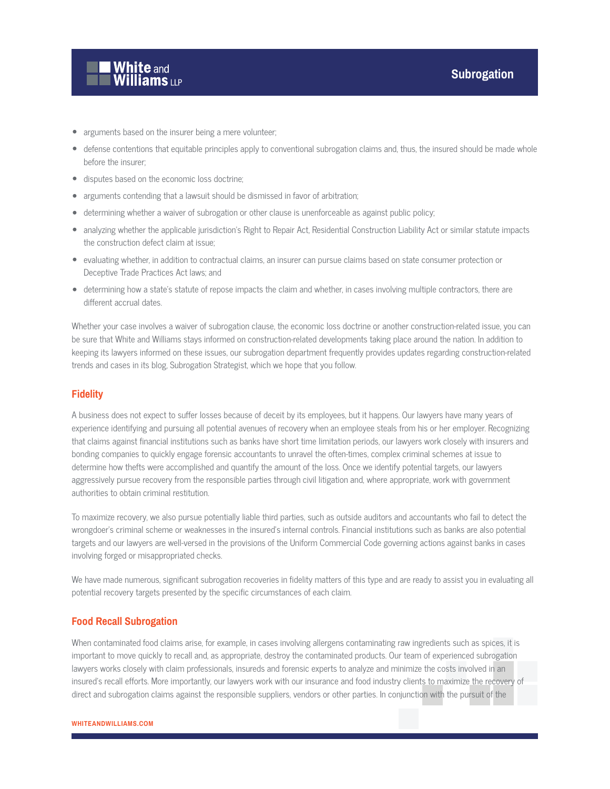

- arguments based on the insurer being a mere volunteer;
- defense contentions that equitable principles apply to conventional subrogation claims and, thus, the insured should be made whole before the insurer;
- disputes based on the economic loss doctrine;
- arguments contending that a lawsuit should be dismissed in favor of arbitration;
- determining whether a waiver of subrogation or other clause is unenforceable as against public policy;
- analyzing whether the applicable jurisdiction's Right to Repair Act, Residential Construction Liability Act or similar statute impacts the construction defect claim at issue;
- evaluating whether, in addition to contractual claims, an insurer can pursue claims based on state consumer protection or Deceptive Trade Practices Act laws; and
- determining how a state's statute of repose impacts the claim and whether, in cases involving multiple contractors, there are different accrual dates.

Whether your case involves a waiver of subrogation clause, the economic loss doctrine or another construction-related issue, you can be sure that White and Williams stays informed on construction-related developments taking place around the nation. In addition to keeping its lawyers informed on these issues, our subrogation department frequently provides updates regarding construction-related trends and cases in its blog, Subrogation Strategist, which we hope that you follow.

#### **Fidelity**

A business does not expect to suffer losses because of deceit by its employees, but it happens. Our lawyers have many years of experience identifying and pursuing all potential avenues of recovery when an employee steals from his or her employer. Recognizing that claims against financial institutions such as banks have short time limitation periods, our lawyers work closely with insurers and bonding companies to quickly engage forensic accountants to unravel the often-times, complex criminal schemes at issue to determine how thefts were accomplished and quantify the amount of the loss. Once we identify potential targets, our lawyers aggressively pursue recovery from the responsible parties through civil litigation and, where appropriate, work with government authorities to obtain criminal restitution.

To maximize recovery, we also pursue potentially liable third parties, such as outside auditors and accountants who fail to detect the wrongdoer's criminal scheme or weaknesses in the insured's internal controls. Financial institutions such as banks are also potential targets and our lawyers are well-versed in the provisions of the Uniform Commercial Code governing actions against banks in cases involving forged or misappropriated checks.

We have made numerous, significant subrogation recoveries in fidelity matters of this type and are ready to assist you in evaluating all potential recovery targets presented by the specific circumstances of each claim.

#### **Food Recall Subrogation**

When contaminated food claims arise, for example, in cases involving allergens contaminating raw ingredients such as spices, it is important to move quickly to recall and, as appropriate, destroy the contaminated products. Our team of experienced subrogation lawyers works closely with claim professionals, insureds and forensic experts to analyze and minimize the costs involved in an insured's recall efforts. More importantly, our lawyers work with our insurance and food industry clients to maximize the recovery of direct and subrogation claims against the responsible suppliers, vendors or other parties. In conjunction with the pursuit of the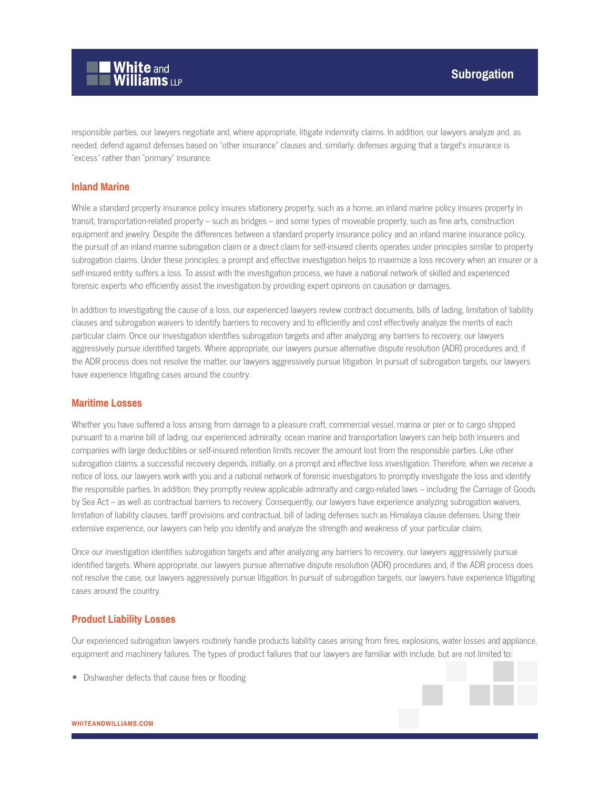

responsible parties, our lawyers negotiate and, where appropriate, litigate indemnity claims. In addition, our lawyers analyze and, as needed, defend against defenses based on "other insurance" clauses and, similarly, defenses arguing that a target's insurance is "excess" rather than "primary" insurance.

#### **Inland Marine**

While a standard property insurance policy insures stationery property, such as a home, an inland marine policy insures property in transit, transportation-related property – such as bridges – and some types of moveable property, such as fine arts, construction equipment and jewelry. Despite the differences between a standard property insurance policy and an inland marine insurance policy, the pursuit of an inland marine subrogation claim or a direct claim for self-insured clients operates under principles similar to property subrogation claims. Under these principles, a prompt and effective investigation helps to maximize a loss recovery when an insurer or a self-insured entity suffers a loss. To assist with the investigation process, we have a national network of skilled and experienced forensic experts who efficiently assist the investigation by providing expert opinions on causation or damages.

In addition to investigating the cause of a loss, our experienced lawyers review contract documents, bills of lading, limitation of liability clauses and subrogation waivers to identify barriers to recovery and to efficiently and cost effectively analyze the merits of each particular claim. Once our investigation identifies subrogation targets and after analyzing any barriers to recovery, our lawyers aggressively pursue identified targets. Where appropriate, our lawyers pursue alternative dispute resolution (ADR) procedures and, if the ADR process does not resolve the matter, our lawyers aggressively pursue litigation. In pursuit of subrogation targets, our lawyers have experience litigating cases around the country.

#### **Maritime Losses**

Whether you have suffered a loss arising from damage to a pleasure craft, commercial vessel, marina or pier or to cargo shipped pursuant to a marine bill of lading, our experienced admiralty, ocean marine and transportation lawyers can help both insurers and companies with large deductibles or self-insured retention limits recover the amount lost from the responsible parties. Like other subrogation claims, a successful recovery depends, initially, on a prompt and effective loss investigation. Therefore, when we receive a notice of loss, our lawyers work with you and a national network of forensic investigators to promptly investigate the loss and identify the responsible parties. In addition, they promptly review applicable admiralty and cargo-related laws – including the Carriage of Goods by Sea Act – as well as contractual barriers to recovery. Consequently, our lawyers have experience analyzing subrogation waivers, limitation of liability clauses, tariff provisions and contractual, bill of lading defenses such as Himalaya clause defenses. Using their extensive experience, our lawyers can help you identify and analyze the strength and weakness of your particular claim.

Once our investigation identifies subrogation targets and after analyzing any barriers to recovery, our lawyers aggressively pursue identified targets. Where appropriate, our lawyers pursue alternative dispute resolution (ADR) procedures and, if the ADR process does not resolve the case, our lawyers aggressively pursue litigation. In pursuit of subrogation targets, our lawyers have experience litigating cases around the country.

#### **Product Liability Losses**

Our experienced subrogation lawyers routinely handle products liability cases arising from fires, explosions, water losses and appliance, equipment and machinery failures. The types of product failures that our lawyers are familiar with include, but are not limited to:

● Dishwasher defects that cause fires or flooding

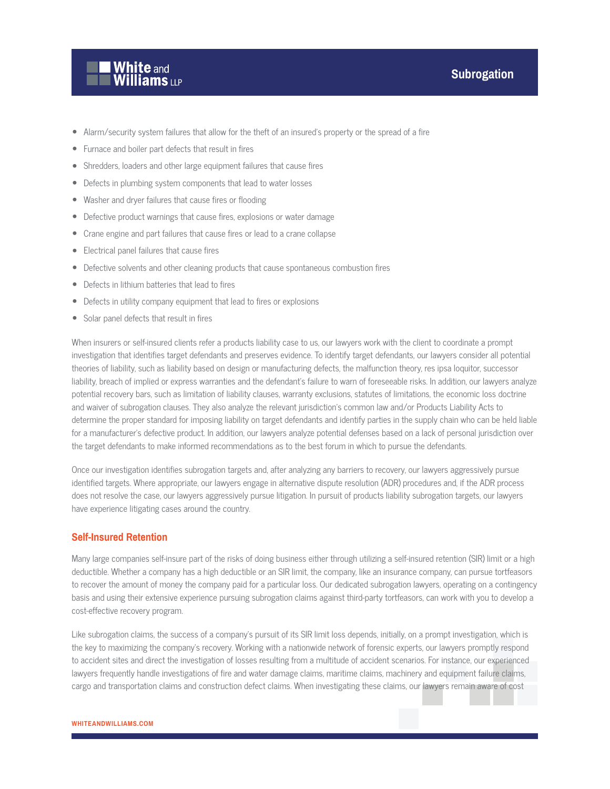

- Alarm/security system failures that allow for the theft of an insured's property or the spread of a fire
- Furnace and boiler part defects that result in fires
- Shredders, loaders and other large equipment failures that cause fires
- Defects in plumbing system components that lead to water losses
- Washer and dryer failures that cause fires or flooding
- Defective product warnings that cause fires, explosions or water damage
- Crane engine and part failures that cause fires or lead to a crane collapse
- Electrical panel failures that cause fires
- Defective solvents and other cleaning products that cause spontaneous combustion fires
- Defects in lithium batteries that lead to fires
- Defects in utility company equipment that lead to fires or explosions
- Solar panel defects that result in fires

When insurers or self-insured clients refer a products liability case to us, our lawyers work with the client to coordinate a prompt investigation that identifies target defendants and preserves evidence. To identify target defendants, our lawyers consider all potential theories of liability, such as liability based on design or manufacturing defects, the malfunction theory, res ipsa loquitor, successor liability, breach of implied or express warranties and the defendant's failure to warn of foreseeable risks. In addition, our lawyers analyze potential recovery bars, such as limitation of liability clauses, warranty exclusions, statutes of limitations, the economic loss doctrine and waiver of subrogation clauses. They also analyze the relevant jurisdiction's common law and/or Products Liability Acts to determine the proper standard for imposing liability on target defendants and identify parties in the supply chain who can be held liable for a manufacturer's defective product. In addition, our lawyers analyze potential defenses based on a lack of personal jurisdiction over the target defendants to make informed recommendations as to the best forum in which to pursue the defendants.

Once our investigation identifies subrogation targets and, after analyzing any barriers to recovery, our lawyers aggressively pursue identified targets. Where appropriate, our lawyers engage in alternative dispute resolution (ADR) procedures and, if the ADR process does not resolve the case, our lawyers aggressively pursue litigation. In pursuit of products liability subrogation targets, our lawyers have experience litigating cases around the country.

#### **Self-Insured Retention**

Many large companies self-insure part of the risks of doing business either through utilizing a self-insured retention (SIR) limit or a high deductible. Whether a company has a high deductible or an SIR limit, the company, like an insurance company, can pursue tortfeasors to recover the amount of money the company paid for a particular loss. Our dedicated subrogation lawyers, operating on a contingency basis and using their extensive experience pursuing subrogation claims against third-party tortfeasors, can work with you to develop a cost-effective recovery program.

Like subrogation claims, the success of a company's pursuit of its SIR limit loss depends, initially, on a prompt investigation, which is the key to maximizing the company's recovery. Working with a nationwide network of forensic experts, our lawyers promptly respond to accident sites and direct the investigation of losses resulting from a multitude of accident scenarios. For instance, our experienced lawyers frequently handle investigations of fire and water damage claims, maritime claims, machinery and equipment failure claims, cargo and transportation claims and construction defect claims. When investigating these claims, our lawyers remain aware of cost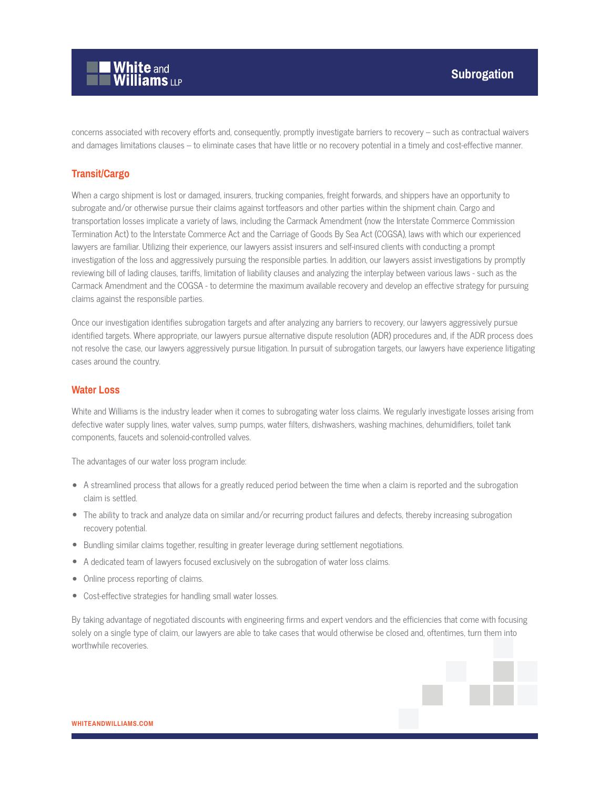

concerns associated with recovery efforts and, consequently, promptly investigate barriers to recovery – such as contractual waivers and damages limitations clauses – to eliminate cases that have little or no recovery potential in a timely and cost-effective manner.

#### **Transit/Cargo**

When a cargo shipment is lost or damaged, insurers, trucking companies, freight forwards, and shippers have an opportunity to subrogate and/or otherwise pursue their claims against tortfeasors and other parties within the shipment chain. Cargo and transportation losses implicate a variety of laws, including the Carmack Amendment (now the Interstate Commerce Commission Termination Act) to the Interstate Commerce Act and the Carriage of Goods By Sea Act (COGSA), laws with which our experienced lawyers are familiar. Utilizing their experience, our lawyers assist insurers and self-insured clients with conducting a prompt investigation of the loss and aggressively pursuing the responsible parties. In addition, our lawyers assist investigations by promptly reviewing bill of lading clauses, tariffs, limitation of liability clauses and analyzing the interplay between various laws - such as the Carmack Amendment and the COGSA - to determine the maximum available recovery and develop an effective strategy for pursuing claims against the responsible parties.

Once our investigation identifies subrogation targets and after analyzing any barriers to recovery, our lawyers aggressively pursue identified targets. Where appropriate, our lawyers pursue alternative dispute resolution (ADR) procedures and, if the ADR process does not resolve the case, our lawyers aggressively pursue litigation. In pursuit of subrogation targets, our lawyers have experience litigating cases around the country.

#### **Water Loss**

White and Williams is the industry leader when it comes to subrogating water loss claims. We regularly investigate losses arising from defective water supply lines, water valves, sump pumps, water filters, dishwashers, washing machines, dehumidifiers, toilet tank components, faucets and solenoid-controlled valves.

The advantages of our water loss program include:

- A streamlined process that allows for a greatly reduced period between the time when a claim is reported and the subrogation claim is settled.
- The ability to track and analyze data on similar and/or recurring product failures and defects, thereby increasing subrogation recovery potential.
- Bundling similar claims together, resulting in greater leverage during settlement negotiations.
- A dedicated team of lawyers focused exclusively on the subrogation of water loss claims.
- Online process reporting of claims.
- Cost-effective strategies for handling small water losses.

By taking advantage of negotiated discounts with engineering firms and expert vendors and the efficiencies that come with focusing solely on a single type of claim, our lawyers are able to take cases that would otherwise be closed and, oftentimes, turn them into worthwhile recoveries.

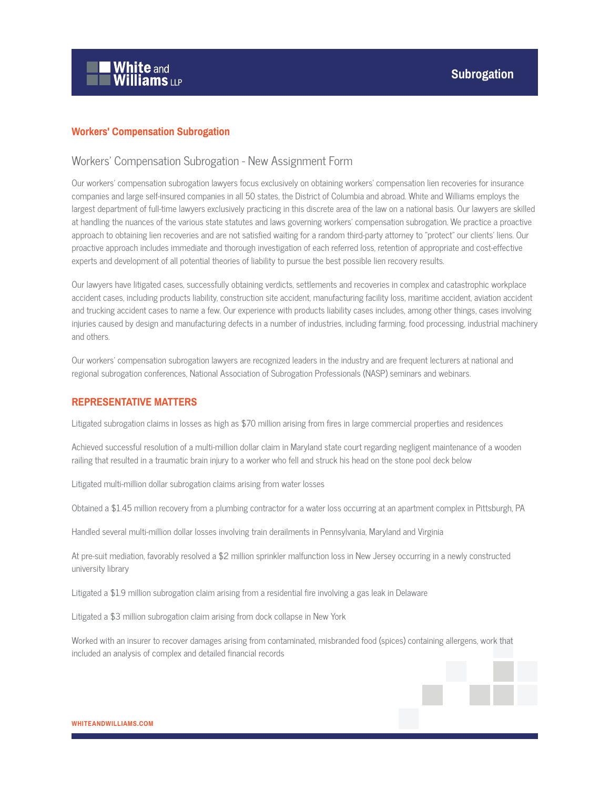

## **Workers' Compensation Subrogation**

#### Workers' Compensation Subrogation - New Assignment Form

Our workers' compensation subrogation lawyers focus exclusively on obtaining workers' compensation lien recoveries for insurance companies and large self-insured companies in all 50 states, the District of Columbia and abroad. White and Williams employs the largest department of full-time lawyers exclusively practicing in this discrete area of the law on a national basis. Our lawyers are skilled at handling the nuances of the various state statutes and laws governing workers' compensation subrogation. We practice a proactive approach to obtaining lien recoveries and are not satisfied waiting for a random third-party attorney to "protect" our clients' liens. Our proactive approach includes immediate and thorough investigation of each referred loss, retention of appropriate and cost-effective experts and development of all potential theories of liability to pursue the best possible lien recovery results.

Our lawyers have litigated cases, successfully obtaining verdicts, settlements and recoveries in complex and catastrophic workplace accident cases, including products liability, construction site accident, manufacturing facility loss, maritime accident, aviation accident and trucking accident cases to name a few. Our experience with products liability cases includes, among other things, cases involving injuries caused by design and manufacturing defects in a number of industries, including farming, food processing, industrial machinery and others.

Our workers' compensation subrogation lawyers are recognized leaders in the industry and are frequent lecturers at national and regional subrogation conferences, National Association of Subrogation Professionals (NASP) seminars and webinars.

#### **REPRESENTATIVE MATTERS**

Litigated subrogation claims in losses as high as \$70 million arising from fires in large commercial properties and residences

Achieved successful resolution of a multi-million dollar claim in Maryland state court regarding negligent maintenance of a wooden railing that resulted in a traumatic brain injury to a worker who fell and struck his head on the stone pool deck below

Litigated multi-million dollar subrogation claims arising from water losses

Obtained a \$1.45 million recovery from a plumbing contractor for a water loss occurring at an apartment complex in Pittsburgh, PA

Handled several multi-million dollar losses involving train derailments in Pennsylvania, Maryland and Virginia

At pre-suit mediation, favorably resolved a \$2 million sprinkler malfunction loss in New Jersey occurring in a newly constructed university library

Litigated a \$1.9 million subrogation claim arising from a residential fire involving a gas leak in Delaware

Litigated a \$3 million subrogation claim arising from dock collapse in New York

Worked with an insurer to recover damages arising from contaminated, misbranded food (spices) containing allergens, work that included an analysis of complex and detailed financial records

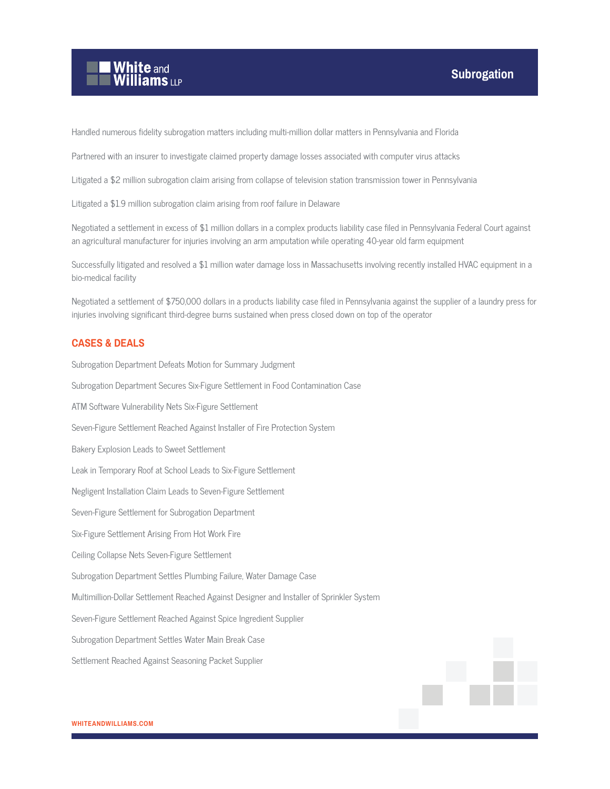

Handled numerous fidelity subrogation matters including multi-million dollar matters in Pennsylvania and Florida

Partnered with an insurer to investigate claimed property damage losses associated with computer virus attacks

Litigated a \$2 million subrogation claim arising from collapse of television station transmission tower in Pennsylvania

Litigated a \$1.9 million subrogation claim arising from roof failure in Delaware

Negotiated a settlement in excess of \$1 million dollars in a complex products liability case filed in Pennsylvania Federal Court against an agricultural manufacturer for injuries involving an arm amputation while operating 40-year old farm equipment

Successfully litigated and resolved a \$1 million water damage loss in Massachusetts involving recently installed HVAC equipment in a bio-medical facility

Negotiated a settlement of \$750,000 dollars in a products liability case filed in Pennsylvania against the supplier of a laundry press for injuries involving significant third-degree burns sustained when press closed down on top of the operator

#### **CASES & DEALS**

Subrogation Department Defeats Motion for Summary Judgment Subrogation Department Secures Six-Figure Settlement in Food Contamination Case ATM Software Vulnerability Nets Six-Figure Settlement Seven-Figure Settlement Reached Against Installer of Fire Protection System Bakery Explosion Leads to Sweet Settlement Leak in Temporary Roof at School Leads to Six-Figure Settlement Negligent Installation Claim Leads to Seven-Figure Settlement Seven-Figure Settlement for Subrogation Department Six-Figure Settlement Arising From Hot Work Fire Ceiling Collapse Nets Seven-Figure Settlement Subrogation Department Settles Plumbing Failure, Water Damage Case Multimillion-Dollar Settlement Reached Against Designer and Installer of Sprinkler System Seven-Figure Settlement Reached Against Spice Ingredient Supplier Subrogation Department Settles Water Main Break Case Settlement Reached Against Seasoning Packet Supplier

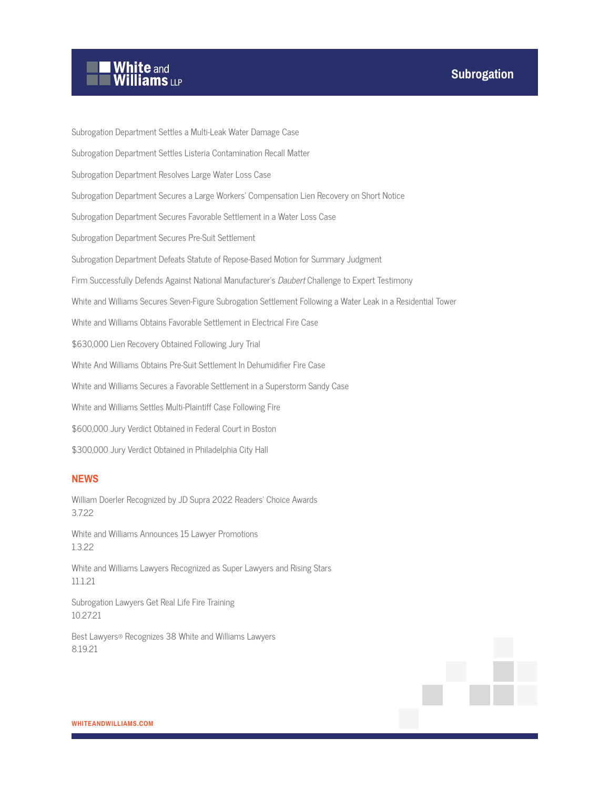# White and<br>Williams LLP

Subrogation Department Settles a Multi-Leak Water Damage Case Subrogation Department Settles Listeria Contamination Recall Matter Subrogation Department Resolves Large Water Loss Case Subrogation Department Secures a Large Workers' Compensation Lien Recovery on Short Notice Subrogation Department Secures Favorable Settlement in a Water Loss Case Subrogation Department Secures Pre-Suit Settlement Subrogation Department Defeats Statute of Repose-Based Motion for Summary Judgment Firm Successfully Defends Against National Manufacturer's *Daubert* Challenge to Expert Testimony White and Williams Secures Seven-Figure Subrogation Settlement Following a Water Leak in a Residential Tower White and Williams Obtains Favorable Settlement in Electrical Fire Case \$630,000 Lien Recovery Obtained Following Jury Trial White And Williams Obtains Pre-Suit Settlement In Dehumidifier Fire Case White and Williams Secures a Favorable Settlement in a Superstorm Sandy Case White and Williams Settles Multi-Plaintiff Case Following Fire \$600,000 Jury Verdict Obtained in Federal Court in Boston \$300,000 Jury Verdict Obtained in Philadelphia City Hall

## **NEWS**

William Doerler Recognized by JD Supra 2022 Readers' Choice Awards 3.7.22

White and Williams Announces 15 Lawyer Promotions 1.3.22

White and Williams Lawyers Recognized as Super Lawyers and Rising Stars 11.1.21

Subrogation Lawyers Get Real Life Fire Training 10.27.21

Best Lawyers® Recognizes 38 White and Williams Lawyers 8.19.21

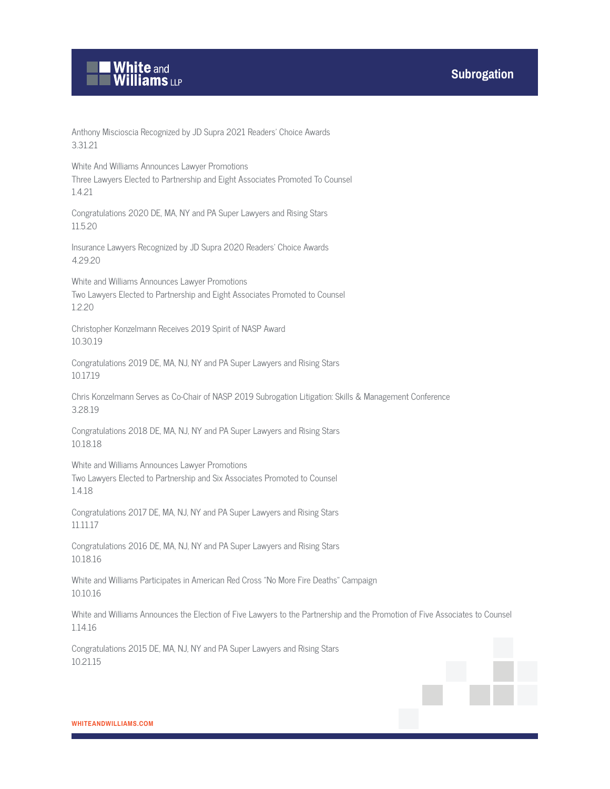

Anthony Miscioscia Recognized by JD Supra 2021 Readers' Choice Awards 3.31.21

White And Williams Announces Lawyer Promotions Three Lawyers Elected to Partnership and Eight Associates Promoted To Counsel 1.4.21

Congratulations 2020 DE, MA, NY and PA Super Lawyers and Rising Stars 11.5.20

Insurance Lawyers Recognized by JD Supra 2020 Readers' Choice Awards 4.29.20

White and Williams Announces Lawyer Promotions Two Lawyers Elected to Partnership and Eight Associates Promoted to Counsel 1.2.20

Christopher Konzelmann Receives 2019 Spirit of NASP Award 10.30.19

Congratulations 2019 DE, MA, NJ, NY and PA Super Lawyers and Rising Stars 10.17.19

Chris Konzelmann Serves as Co-Chair of NASP 2019 Subrogation Litigation: Skills & Management Conference 3.28.19

Congratulations 2018 DE, MA, NJ, NY and PA Super Lawyers and Rising Stars 10.18.18

White and Williams Announces Lawyer Promotions Two Lawyers Elected to Partnership and Six Associates Promoted to Counsel 1.4.18

Congratulations 2017 DE, MA, NJ, NY and PA Super Lawyers and Rising Stars 11.11.17

Congratulations 2016 DE, MA, NJ, NY and PA Super Lawyers and Rising Stars 10.18.16

White and Williams Participates in American Red Cross "No More Fire Deaths" Campaign 10.10.16

White and Williams Announces the Election of Five Lawyers to the Partnership and the Promotion of Five Associates to Counsel 1.14.16

Congratulations 2015 DE, MA, NJ, NY and PA Super Lawyers and Rising Stars 10.21.15

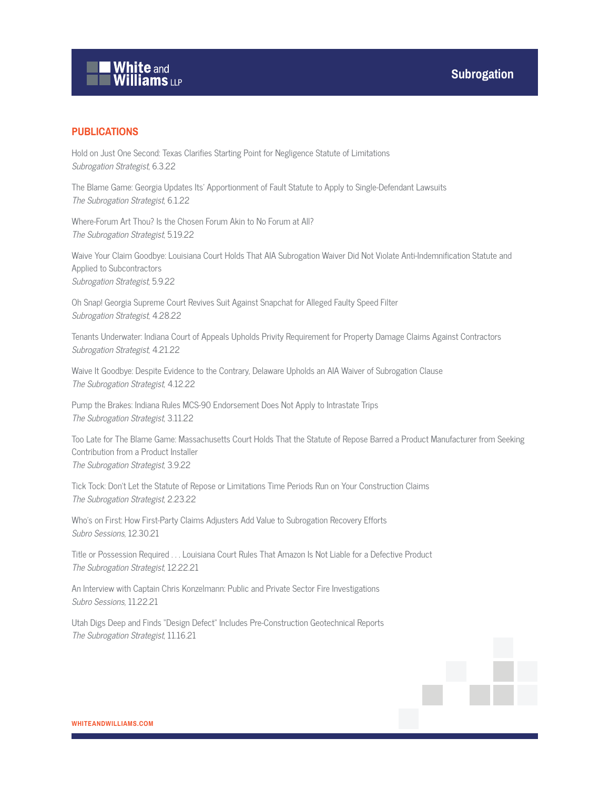

## **PUBLICATIONS**

Hold on Just One Second: Texas Clarifies Starting Point for Negligence Statute of Limitations Subrogation Strategist, 6.3.22

The Blame Game: Georgia Updates Its' Apportionment of Fault Statute to Apply to Single-Defendant Lawsuits The Subrogation Strategist, 6.1.22

Where-Forum Art Thou? Is the Chosen Forum Akin to No Forum at All? The Subrogation Strategist, 5.19.22

Waive Your Claim Goodbye: Louisiana Court Holds That AIA Subrogation Waiver Did Not Violate Anti-Indemnification Statute and Applied to Subcontractors Subrogation Strategist, 5.9.22

Oh Snap! Georgia Supreme Court Revives Suit Against Snapchat for Alleged Faulty Speed Filter Subrogation Strategist, 4.28.22

Tenants Underwater: Indiana Court of Appeals Upholds Privity Requirement for Property Damage Claims Against Contractors Subrogation Strategist, 4.21.22

Waive It Goodbye: Despite Evidence to the Contrary, Delaware Upholds an AIA Waiver of Subrogation Clause The Subrogation Strategist, 4.12.22

Pump the Brakes: Indiana Rules MCS-90 Endorsement Does Not Apply to Intrastate Trips The Subrogation Strategist, 3.11.22

Too Late for The Blame Game: Massachusetts Court Holds That the Statute of Repose Barred a Product Manufacturer from Seeking Contribution from a Product Installer The Subrogation Strategist, 3.9.22

Tick Tock: Don't Let the Statute of Repose or Limitations Time Periods Run on Your Construction Claims The Subrogation Strategist, 2.23.22

Who's on First: How First-Party Claims Adjusters Add Value to Subrogation Recovery Efforts Subro Sessions, 12.30.21

Title or Possession Required . . . Louisiana Court Rules That Amazon Is Not Liable for a Defective Product The Subrogation Strategist, 12.22.21

An Interview with Captain Chris Konzelmann: Public and Private Sector Fire Investigations Subro Sessions, 11.22.21

Utah Digs Deep and Finds "Design Defect" Includes Pre-Construction Geotechnical Reports The Subrogation Strategist, 11.16.21

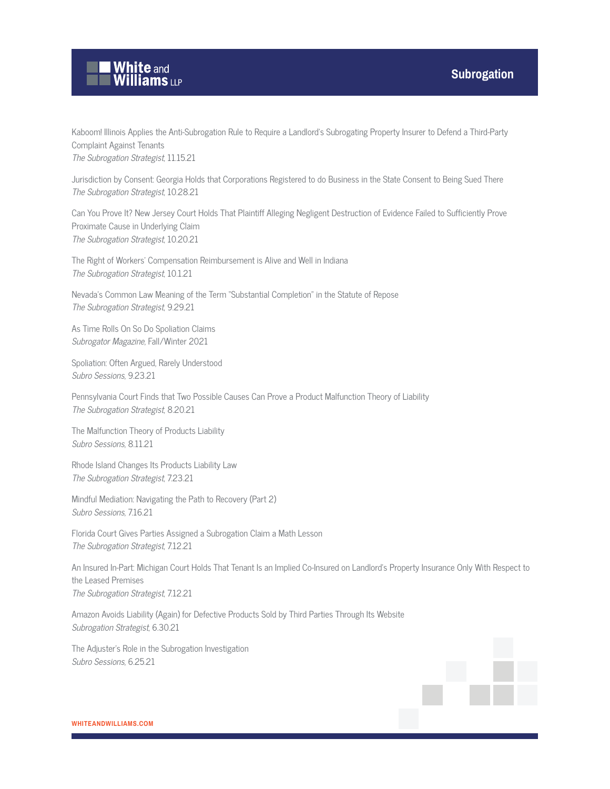

Kaboom! Illinois Applies the Anti-Subrogation Rule to Require a Landlord's Subrogating Property Insurer to Defend a Third-Party Complaint Against Tenants The Subrogation Strategist, 11.15.21

Jurisdiction by Consent: Georgia Holds that Corporations Registered to do Business in the State Consent to Being Sued There The Subrogation Strategist, 10.28.21

Can You Prove It? New Jersey Court Holds That Plaintiff Alleging Negligent Destruction of Evidence Failed to Sufficiently Prove Proximate Cause in Underlying Claim The Subrogation Strategist, 10.20.21

The Right of Workers' Compensation Reimbursement is Alive and Well in Indiana The Subrogation Strategist, 10.1.21

Nevada's Common Law Meaning of the Term "Substantial Completion" in the Statute of Repose The Subrogation Strategist, 9.29.21

As Time Rolls On So Do Spoliation Claims Subrogator Magazine, Fall/Winter 2021

Spoliation: Often Argued, Rarely Understood Subro Sessions, 9.23.21

Pennsylvania Court Finds that Two Possible Causes Can Prove a Product Malfunction Theory of Liability The Subrogation Strategist, 8.20.21

The Malfunction Theory of Products Liability Subro Sessions, 8.11.21

Rhode Island Changes Its Products Liability Law The Subrogation Strategist, 7.23.21

Mindful Mediation: Navigating the Path to Recovery (Part 2) Subro Sessions, 7.16.21

Florida Court Gives Parties Assigned a Subrogation Claim a Math Lesson The Subrogation Strategist, 7.12.21

An Insured In-Part: Michigan Court Holds That Tenant Is an Implied Co-Insured on Landlord's Property Insurance Only With Respect to the Leased Premises The Subrogation Strategist, 7.12.21

Amazon Avoids Liability (Again) for Defective Products Sold by Third Parties Through Its Website Subrogation Strategist, 6.30.21

The Adjuster's Role in the Subrogation Investigation Subro Sessions, 6.25.21

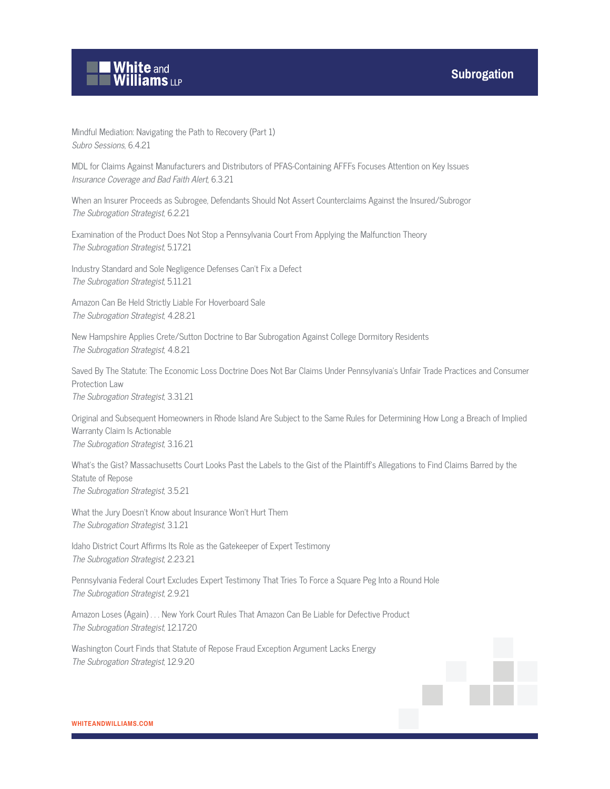

Mindful Mediation: Navigating the Path to Recovery (Part 1) Subro Sessions, 6.4.21

MDL for Claims Against Manufacturers and Distributors of PFAS-Containing AFFFs Focuses Attention on Key Issues Insurance Coverage and Bad Faith Alert, 6.3.21

When an Insurer Proceeds as Subrogee, Defendants Should Not Assert Counterclaims Against the Insured/Subrogor The Subrogation Strategist, 6.2.21

Examination of the Product Does Not Stop a Pennsylvania Court From Applying the Malfunction Theory The Subrogation Strategist, 5.17.21

Industry Standard and Sole Negligence Defenses Can't Fix a Defect The Subrogation Strategist, 5.11.21

Amazon Can Be Held Strictly Liable For Hoverboard Sale The Subrogation Strategist, 4.28.21

New Hampshire Applies Crete/Sutton Doctrine to Bar Subrogation Against College Dormitory Residents The Subrogation Strategist, 4.8.21

Saved By The Statute: The Economic Loss Doctrine Does Not Bar Claims Under Pennsylvania's Unfair Trade Practices and Consumer Protection Law

The Subrogation Strategist, 3.31.21

Original and Subsequent Homeowners in Rhode Island Are Subject to the Same Rules for Determining How Long a Breach of Implied Warranty Claim Is Actionable The Subrogation Strategist, 3.16.21

What's the Gist? Massachusetts Court Looks Past the Labels to the Gist of the Plaintiff's Allegations to Find Claims Barred by the Statute of Repose The Subrogation Strategist, 3.5.21

What the Jury Doesn't Know about Insurance Won't Hurt Them The Subrogation Strategist, 3.1.21

Idaho District Court Affirms Its Role as the Gatekeeper of Expert Testimony The Subrogation Strategist, 2.23.21

Pennsylvania Federal Court Excludes Expert Testimony That Tries To Force a Square Peg Into a Round Hole The Subrogation Strategist, 2.9.21

Amazon Loses (Again) . . . New York Court Rules That Amazon Can Be Liable for Defective Product The Subrogation Strategist, 12.17.20

Washington Court Finds that Statute of Repose Fraud Exception Argument Lacks Energy The Subrogation Strategist, 12.9.20

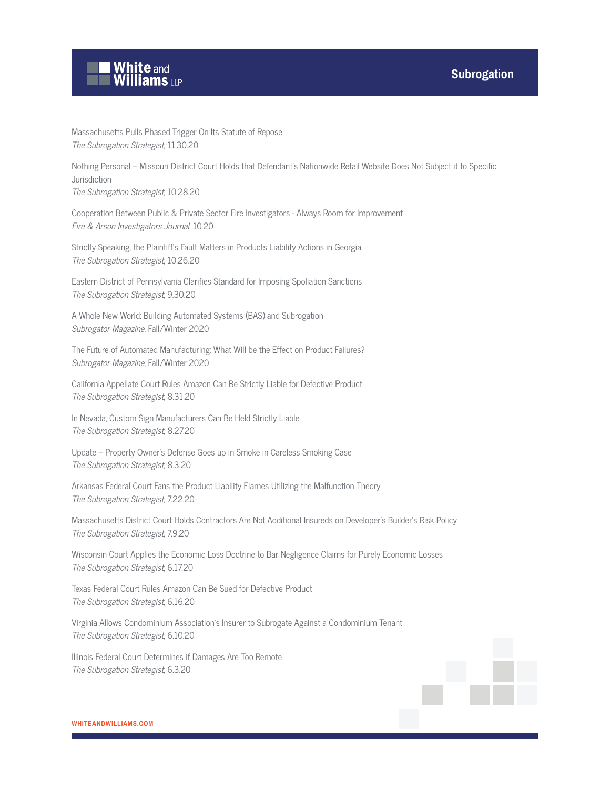

Massachusetts Pulls Phased Trigger On Its Statute of Repose The Subrogation Strategist, 11.30.20

Nothing Personal – Missouri District Court Holds that Defendant's Nationwide Retail Website Does Not Subject it to Specific Jurisdiction

The Subrogation Strategist, 10.28.20

Cooperation Between Public & Private Sector Fire Investigators - Always Room for Improvement Fire & Arson Investigators Journal, 10.20

Strictly Speaking, the Plaintiff's Fault Matters in Products Liability Actions in Georgia The Subrogation Strategist, 10.26.20

Eastern District of Pennsylvania Clarifies Standard for Imposing Spoliation Sanctions The Subrogation Strategist, 9.30.20

A Whole New World: Building Automated Systems (BAS) and Subrogation Subrogator Magazine, Fall/Winter 2020

The Future of Automated Manufacturing: What Will be the Effect on Product Failures? Subrogator Magazine, Fall/Winter 2020

California Appellate Court Rules Amazon Can Be Strictly Liable for Defective Product The Subrogation Strategist, 8.31.20

In Nevada, Custom Sign Manufacturers Can Be Held Strictly Liable The Subrogation Strategist, 8.27.20

Update – Property Owner's Defense Goes up in Smoke in Careless Smoking Case The Subrogation Strategist, 8.3.20

Arkansas Federal Court Fans the Product Liability Flames Utilizing the Malfunction Theory The Subrogation Strategist, 7.22.20

Massachusetts District Court Holds Contractors Are Not Additional Insureds on Developer's Builder's Risk Policy The Subrogation Strategist, 7.9.20

Wisconsin Court Applies the Economic Loss Doctrine to Bar Negligence Claims for Purely Economic Losses The Subrogation Strategist, 6.17.20

Texas Federal Court Rules Amazon Can Be Sued for Defective Product The Subrogation Strategist, 6.16.20

Virginia Allows Condominium Association's Insurer to Subrogate Against a Condominium Tenant The Subrogation Strategist, 6.10.20

Illinois Federal Court Determines if Damages Are Too Remote The Subrogation Strategist, 6.3.20

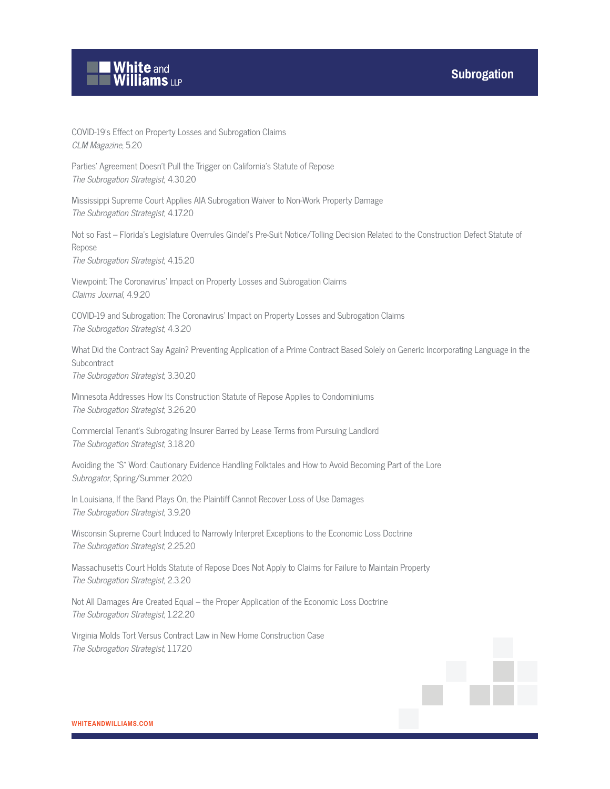

COVID-19's Effect on Property Losses and Subrogation Claims CLM Magazine, 5.20

Parties' Agreement Doesn't Pull the Trigger on California's Statute of Repose The Subrogation Strategist, 4.30.20

Mississippi Supreme Court Applies AIA Subrogation Waiver to Non-Work Property Damage The Subrogation Strategist, 4.17.20

Not so Fast – Florida's Legislature Overrules Gindel's Pre-Suit Notice/Tolling Decision Related to the Construction Defect Statute of Repose

The Subrogation Strategist, 4.15.20

Viewpoint: The Coronavirus' Impact on Property Losses and Subrogation Claims Claims Journal, 4.9.20

COVID-19 and Subrogation: The Coronavirus' Impact on Property Losses and Subrogation Claims The Subrogation Strategist, 4.3.20

What Did the Contract Say Again? Preventing Application of a Prime Contract Based Solely on Generic Incorporating Language in the **Subcontract** The Subrogation Strategist, 3.30.20

Minnesota Addresses How Its Construction Statute of Repose Applies to Condominiums The Subrogation Strategist, 3.26.20

Commercial Tenant's Subrogating Insurer Barred by Lease Terms from Pursuing Landlord The Subrogation Strategist, 3.18.20

Avoiding the "S" Word: Cautionary Evidence Handling Folktales and How to Avoid Becoming Part of the Lore Subrogator, Spring/Summer 2020

In Louisiana, If the Band Plays On, the Plaintiff Cannot Recover Loss of Use Damages The Subrogation Strategist, 3.9.20

Wisconsin Supreme Court Induced to Narrowly Interpret Exceptions to the Economic Loss Doctrine The Subrogation Strategist, 2.25.20

Massachusetts Court Holds Statute of Repose Does Not Apply to Claims for Failure to Maintain Property The Subrogation Strategist, 2.3.20

Not All Damages Are Created Equal – the Proper Application of the Economic Loss Doctrine The Subrogation Strategist, 1.22.20

Virginia Molds Tort Versus Contract Law in New Home Construction Case The Subrogation Strategist, 1.17.20

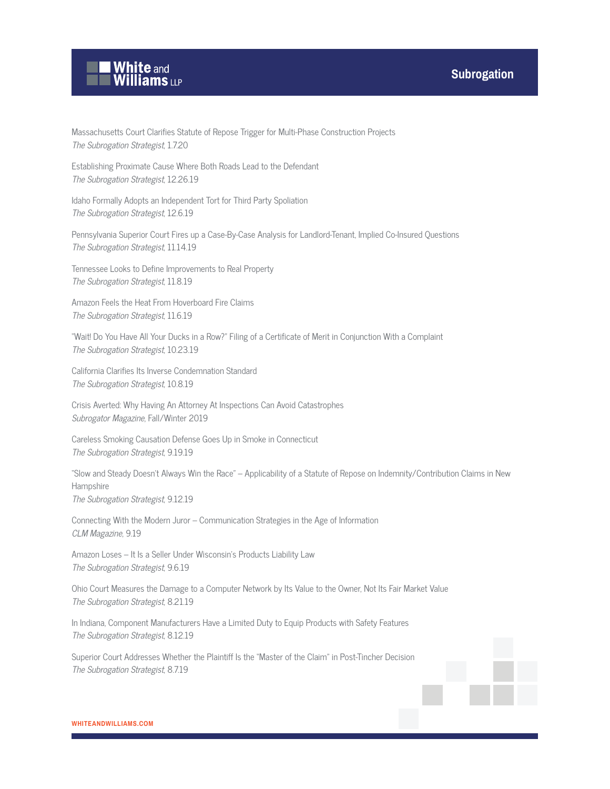

Massachusetts Court Clarifies Statute of Repose Trigger for Multi-Phase Construction Projects The Subrogation Strategist, 1.7.20

Establishing Proximate Cause Where Both Roads Lead to the Defendant The Subrogation Strategist, 12.26.19

Idaho Formally Adopts an Independent Tort for Third Party Spoliation The Subrogation Strategist, 12.6.19

Pennsylvania Superior Court Fires up a Case-By-Case Analysis for Landlord-Tenant, Implied Co-Insured Questions The Subrogation Strategist, 11.14.19

Tennessee Looks to Define Improvements to Real Property The Subrogation Strategist, 11.8.19

Amazon Feels the Heat From Hoverboard Fire Claims The Subrogation Strategist, 11.6.19

"Wait! Do You Have All Your Ducks in a Row?" Filing of a Certificate of Merit in Conjunction With a Complaint The Subrogation Strategist, 10.23.19

California Clarifies Its Inverse Condemnation Standard The Subrogation Strategist, 10.8.19

Crisis Averted: Why Having An Attorney At Inspections Can Avoid Catastrophes Subrogator Magazine, Fall/Winter 2019

Careless Smoking Causation Defense Goes Up in Smoke in Connecticut The Subrogation Strategist, 9.19.19

"Slow and Steady Doesn't Always Win the Race" – Applicability of a Statute of Repose on Indemnity/Contribution Claims in New Hampshire

The Subrogation Strategist, 9.12.19

Connecting With the Modern Juror – Communication Strategies in the Age of Information CLM Magazine, 9.19

Amazon Loses – It Is a Seller Under Wisconsin's Products Liability Law The Subrogation Strategist, 9.6.19

Ohio Court Measures the Damage to a Computer Network by Its Value to the Owner, Not Its Fair Market Value The Subrogation Strategist, 8.21.19

In Indiana, Component Manufacturers Have a Limited Duty to Equip Products with Safety Features The Subrogation Strategist, 8.12.19

Superior Court Addresses Whether the Plaintiff Is the "Master of the Claim" in Post-Tincher Decision The Subrogation Strategist, 8.7.19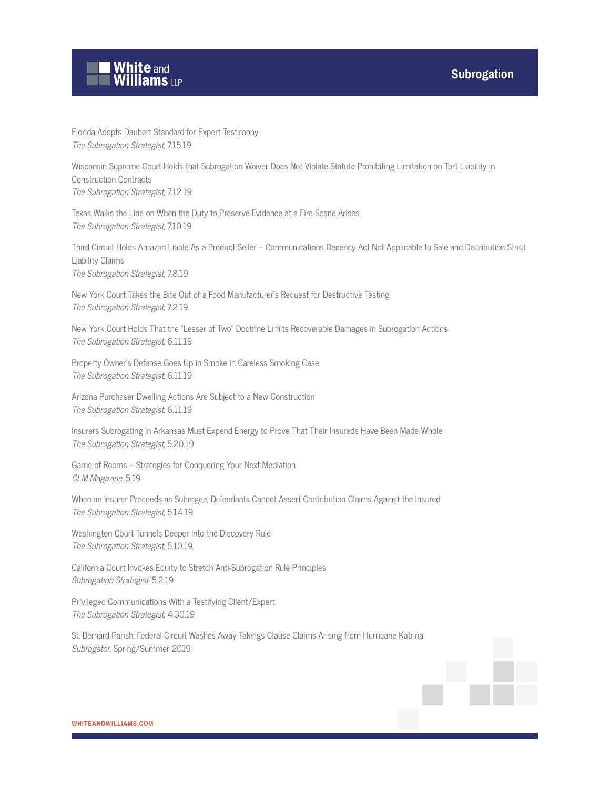

Florida Adopts Daubert Standard for Expert Testimony The Subrogation Strategist, 7.15.19

Wisconsin Supreme Court Holds that Subrogation Waiver Does Not Violate Statute Prohibiting Limitation on Tort Liability in Construction Contracts The Subrogation Strategist, 7.12.19

Texas Walks the Line on When the Duty to Preserve Evidence at a Fire Scene Arises The Subrogation Strategist, 7.10.19

Third Circuit Holds Amazon Liable As a Product Seller – Communications Decency Act Not Applicable to Sale and Distribution Strict Liability Claims The Subrogation Strategist, 7.8.19

New York Court Takes the Bite Out of a Food Manufacturer's Request for Destructive Testing The Subrogation Strategist, 7.2.19

New York Court Holds That the "Lesser of Two" Doctrine Limits Recoverable Damages in Subrogation Actions The Subrogation Strategist, 6.11.19

Property Owner's Defense Goes Up in Smoke in Careless Smoking Case The Subrogation Strategist, 6.11.19

Arizona Purchaser Dwelling Actions Are Subject to a New Construction The Subrogation Strategist, 6.11.19

Insurers Subrogating in Arkansas Must Expend Energy to Prove That Their Insureds Have Been Made Whole The Subrogation Strategist, 5.20.19

Game of Rooms – Strategies for Conquering Your Next Mediation CLM Magazine, 5.19

When an Insurer Proceeds as Subrogee, Defendants Cannot Assert Contribution Claims Against the Insured The Subrogation Strategist, 5.14.19

Washington Court Tunnels Deeper Into the Discovery Rule The Subrogation Strategist, 5.10.19

California Court Invokes Equity to Stretch Anti-Subrogation Rule Principles Subrogation Strategist, 5.2.19

Privileged Communications With a Testifying Client/Expert The Subrogation Strategist, 4.30.19

St. Bernard Parish: Federal Circuit Washes Away Takings Clause Claims Arising from Hurricane Katrina Subrogator, Spring/Summer 2019

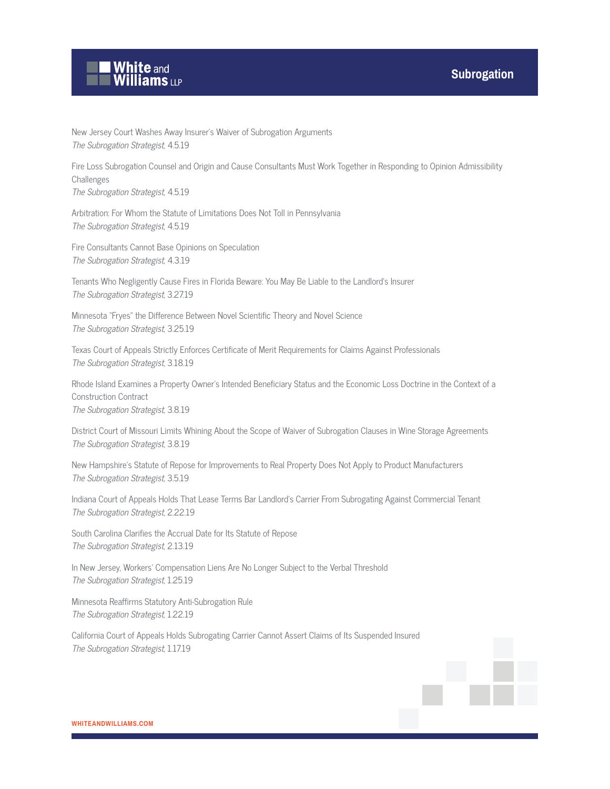

New Jersey Court Washes Away Insurer's Waiver of Subrogation Arguments The Subrogation Strategist, 4.5.19

Fire Loss Subrogation Counsel and Origin and Cause Consultants Must Work Together in Responding to Opinion Admissibility Challenges

The Subrogation Strategist, 4.5.19

Arbitration: For Whom the Statute of Limitations Does Not Toll in Pennsylvania The Subrogation Strategist, 4.5.19

Fire Consultants Cannot Base Opinions on Speculation The Subrogation Strategist, 4.3.19

Tenants Who Negligently Cause Fires in Florida Beware: You May Be Liable to the Landlord's Insurer The Subrogation Strategist, 3.27.19

Minnesota "Fryes" the Difference Between Novel Scientific Theory and Novel Science The Subrogation Strategist, 3.25.19

Texas Court of Appeals Strictly Enforces Certificate of Merit Requirements for Claims Against Professionals The Subrogation Strategist, 3.18.19

Rhode Island Examines a Property Owner's Intended Beneficiary Status and the Economic Loss Doctrine in the Context of a Construction Contract The Subrogation Strategist, 3.8.19

District Court of Missouri Limits Whining About the Scope of Waiver of Subrogation Clauses in Wine Storage Agreements The Subrogation Strategist, 3.8.19

New Hampshire's Statute of Repose for Improvements to Real Property Does Not Apply to Product Manufacturers The Subrogation Strategist, 3.5.19

Indiana Court of Appeals Holds That Lease Terms Bar Landlord's Carrier From Subrogating Against Commercial Tenant The Subrogation Strategist, 2.22.19

South Carolina Clarifies the Accrual Date for Its Statute of Repose The Subrogation Strategist, 2.13.19

In New Jersey, Workers' Compensation Liens Are No Longer Subject to the Verbal Threshold The Subrogation Strategist, 1.25.19

Minnesota Reaffirms Statutory Anti-Subrogation Rule The Subrogation Strategist, 1.22.19

California Court of Appeals Holds Subrogating Carrier Cannot Assert Claims of Its Suspended Insured The Subrogation Strategist, 1.17.19

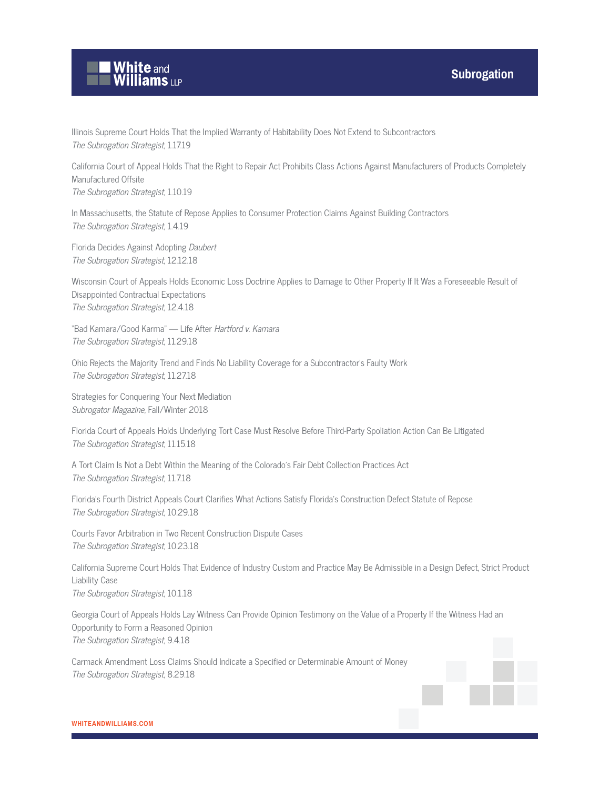



Illinois Supreme Court Holds That the Implied Warranty of Habitability Does Not Extend to Subcontractors The Subrogation Strategist, 1.17.19

California Court of Appeal Holds That the Right to Repair Act Prohibits Class Actions Against Manufacturers of Products Completely Manufactured Offsite

The Subrogation Strategist, 1.10.19

In Massachusetts, the Statute of Repose Applies to Consumer Protection Claims Against Building Contractors The Subrogation Strategist, 1.4.19

Florida Decides Against Adopting Daubert The Subrogation Strategist, 12.12.18

Wisconsin Court of Appeals Holds Economic Loss Doctrine Applies to Damage to Other Property If It Was a Foreseeable Result of Disappointed Contractual Expectations The Subrogation Strategist, 12.4.18

"Bad Kamara/Good Karma" — Life After Hartford v. Kamara The Subrogation Strategist, 11.29.18

Ohio Rejects the Majority Trend and Finds No Liability Coverage for a Subcontractor's Faulty Work The Subrogation Strategist, 11.27.18

Strategies for Conquering Your Next Mediation Subrogator Magazine, Fall/Winter 2018

Florida Court of Appeals Holds Underlying Tort Case Must Resolve Before Third-Party Spoliation Action Can Be Litigated The Subrogation Strategist, 11.15.18

A Tort Claim Is Not a Debt Within the Meaning of the Colorado's Fair Debt Collection Practices Act The Subrogation Strategist, 11.7.18

Florida's Fourth District Appeals Court Clarifies What Actions Satisfy Florida's Construction Defect Statute of Repose The Subrogation Strategist, 10.29.18

Courts Favor Arbitration in Two Recent Construction Dispute Cases The Subrogation Strategist, 10.23.18

California Supreme Court Holds That Evidence of Industry Custom and Practice May Be Admissible in a Design Defect, Strict Product Liability Case The Subrogation Strategist, 10.1.18

Georgia Court of Appeals Holds Lay Witness Can Provide Opinion Testimony on the Value of a Property If the Witness Had an Opportunity to Form a Reasoned Opinion The Subrogation Strategist, 9.4.18

Carmack Amendment Loss Claims Should Indicate a Specified or Determinable Amount of Money The Subrogation Strategist, 8.29.18

**WHITEANDWILLIAMS.COM**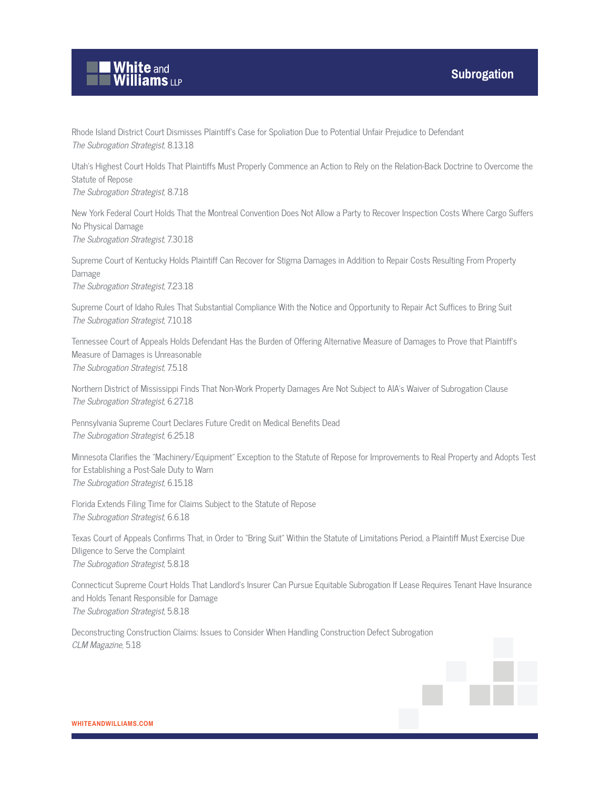

Rhode Island District Court Dismisses Plaintiff's Case for Spoliation Due to Potential Unfair Prejudice to Defendant The Subrogation Strategist, 8.13.18

Utah's Highest Court Holds That Plaintiffs Must Properly Commence an Action to Rely on the Relation-Back Doctrine to Overcome the Statute of Repose

The Subrogation Strategist, 8.7.18

New York Federal Court Holds That the Montreal Convention Does Not Allow a Party to Recover Inspection Costs Where Cargo Suffers No Physical Damage The Subrogation Strategist, 7.30.18

Supreme Court of Kentucky Holds Plaintiff Can Recover for Stigma Damages in Addition to Repair Costs Resulting From Property Damage

The Subrogation Strategist, 7.23.18

Supreme Court of Idaho Rules That Substantial Compliance With the Notice and Opportunity to Repair Act Suffices to Bring Suit The Subrogation Strategist, 7.10.18

Tennessee Court of Appeals Holds Defendant Has the Burden of Offering Alternative Measure of Damages to Prove that Plaintiff's Measure of Damages is Unreasonable The Subrogation Strategist, 7.5.18

Northern District of Mississippi Finds That Non-Work Property Damages Are Not Subject to AIA's Waiver of Subrogation Clause The Subrogation Strategist, 6.27.18

Pennsylvania Supreme Court Declares Future Credit on Medical Benefits Dead The Subrogation Strategist, 6.25.18

Minnesota Clarifies the "Machinery/Equipment" Exception to the Statute of Repose for Improvements to Real Property and Adopts Test for Establishing a Post-Sale Duty to Warn The Subrogation Strategist, 6.15.18

Florida Extends Filing Time for Claims Subject to the Statute of Repose The Subrogation Strategist, 6.6.18

Texas Court of Appeals Confirms That, in Order to "Bring Suit" Within the Statute of Limitations Period, a Plaintiff Must Exercise Due Diligence to Serve the Complaint The Subrogation Strategist, 5.8.18

Connecticut Supreme Court Holds That Landlord's Insurer Can Pursue Equitable Subrogation If Lease Requires Tenant Have Insurance and Holds Tenant Responsible for Damage The Subrogation Strategist, 5.8.18

Deconstructing Construction Claims: Issues to Consider When Handling Construction Defect Subrogation CLM Magazine, 5.18

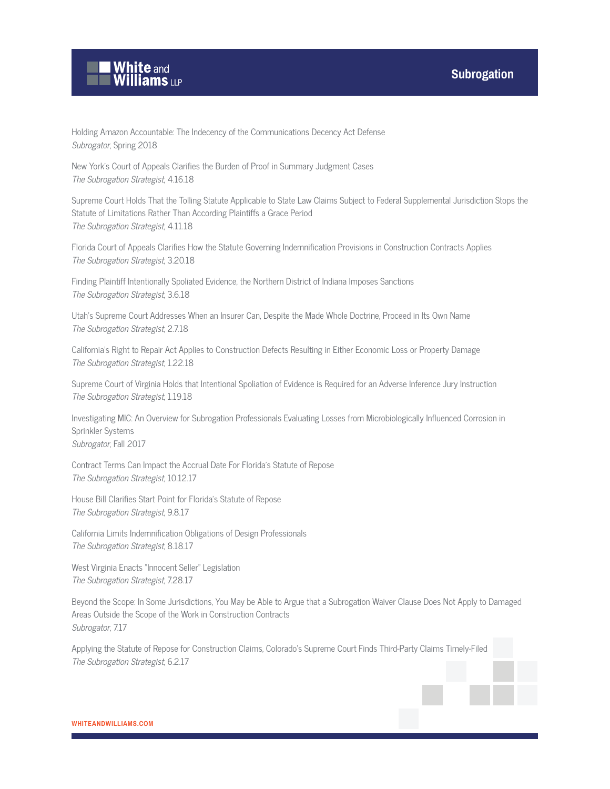

Holding Amazon Accountable: The Indecency of the Communications Decency Act Defense Subrogator, Spring 2018

New York's Court of Appeals Clarifies the Burden of Proof in Summary Judgment Cases The Subrogation Strategist, 4.16.18

Supreme Court Holds That the Tolling Statute Applicable to State Law Claims Subject to Federal Supplemental Jurisdiction Stops the Statute of Limitations Rather Than According Plaintiffs a Grace Period The Subrogation Strategist, 4.11.18

Florida Court of Appeals Clarifies How the Statute Governing Indemnification Provisions in Construction Contracts Applies The Subrogation Strategist, 3.20.18

Finding Plaintiff Intentionally Spoliated Evidence, the Northern District of Indiana Imposes Sanctions The Subrogation Strategist, 3.6.18

Utah's Supreme Court Addresses When an Insurer Can, Despite the Made Whole Doctrine, Proceed in Its Own Name The Subrogation Strategist, 2.7.18

California's Right to Repair Act Applies to Construction Defects Resulting in Either Economic Loss or Property Damage The Subrogation Strategist, 1.22.18

Supreme Court of Virginia Holds that Intentional Spoliation of Evidence is Required for an Adverse Inference Jury Instruction The Subrogation Strategist, 1.19.18

Investigating MIC: An Overview for Subrogation Professionals Evaluating Losses from Microbiologically Influenced Corrosion in Sprinkler Systems Subrogator, Fall 2017

Contract Terms Can Impact the Accrual Date For Florida's Statute of Repose The Subrogation Strategist, 10.12.17

House Bill Clarifies Start Point for Florida's Statute of Repose The Subrogation Strategist, 9.8.17

California Limits Indemnification Obligations of Design Professionals The Subrogation Strategist, 8.18.17

West Virginia Enacts "Innocent Seller" Legislation The Subrogation Strategist, 7.28.17

Beyond the Scope: In Some Jurisdictions, You May be Able to Argue that a Subrogation Waiver Clause Does Not Apply to Damaged Areas Outside the Scope of the Work in Construction Contracts Subrogator, 7.17

Applying the Statute of Repose for Construction Claims, Colorado's Supreme Court Finds Third-Party Claims Timely-Filed The Subrogation Strategist, 6.2.17

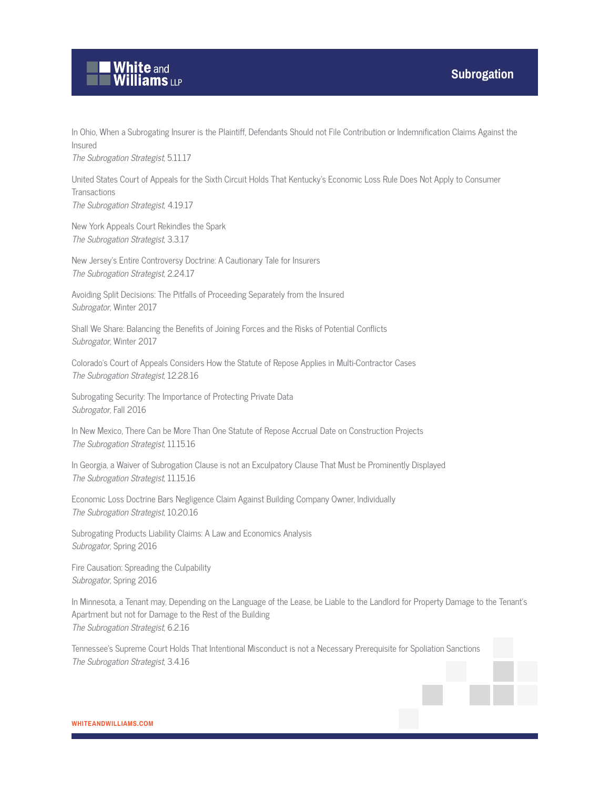

In Ohio, When a Subrogating Insurer is the Plaintiff, Defendants Should not File Contribution or Indemnification Claims Against the Insured The Subrogation Strategist, 5.11.17

United States Court of Appeals for the Sixth Circuit Holds That Kentucky's Economic Loss Rule Does Not Apply to Consumer **Transactions** The Subrogation Strategist, 4.19.17

New York Appeals Court Rekindles the Spark The Subrogation Strategist, 3.3.17

New Jersey's Entire Controversy Doctrine: A Cautionary Tale for Insurers The Subrogation Strategist, 2.24.17

Avoiding Split Decisions: The Pitfalls of Proceeding Separately from the Insured Subrogator, Winter 2017

Shall We Share: Balancing the Benefits of Joining Forces and the Risks of Potential Conflicts Subrogator, Winter 2017

Colorado's Court of Appeals Considers How the Statute of Repose Applies in Multi-Contractor Cases The Subrogation Strategist, 12.28.16

Subrogating Security: The Importance of Protecting Private Data Subrogator, Fall 2016

In New Mexico, There Can be More Than One Statute of Repose Accrual Date on Construction Projects The Subrogation Strategist, 11.15.16

In Georgia, a Waiver of Subrogation Clause is not an Exculpatory Clause That Must be Prominently Displayed The Subrogation Strategist, 11.15.16

Economic Loss Doctrine Bars Negligence Claim Against Building Company Owner, Individually The Subrogation Strategist, 10.20.16

Subrogating Products Liability Claims: A Law and Economics Analysis Subrogator, Spring 2016

Fire Causation: Spreading the Culpability Subrogator, Spring 2016

In Minnesota, a Tenant may, Depending on the Language of the Lease, be Liable to the Landlord for Property Damage to the Tenant's Apartment but not for Damage to the Rest of the Building The Subrogation Strategist, 6.2.16

Tennessee's Supreme Court Holds That Intentional Misconduct is not a Necessary Prerequisite for Spoliation Sanctions The Subrogation Strategist, 3.4.16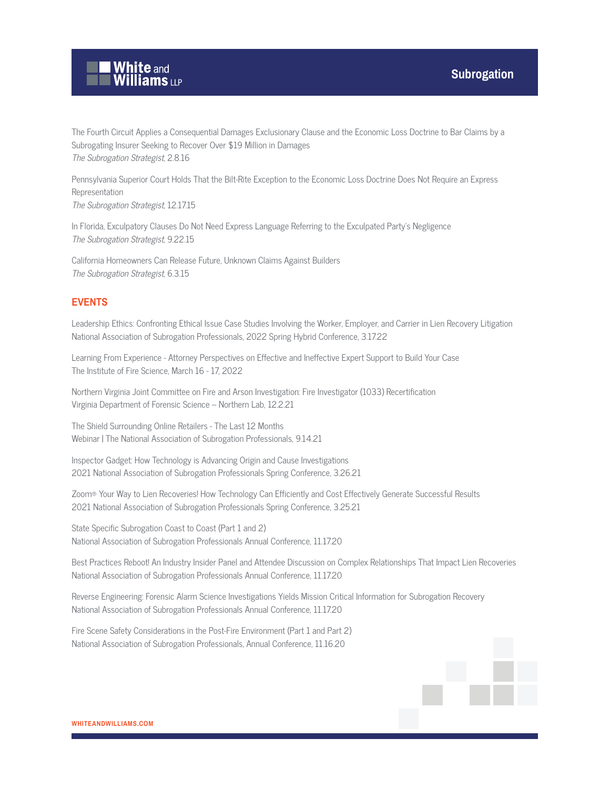

The Fourth Circuit Applies a Consequential Damages Exclusionary Clause and the Economic Loss Doctrine to Bar Claims by a Subrogating Insurer Seeking to Recover Over \$19 Million in Damages The Subrogation Strategist, 2.8.16

Pennsylvania Superior Court Holds That the Bilt-Rite Exception to the Economic Loss Doctrine Does Not Require an Express Representation The Subrogation Strategist, 12.17.15

In Florida, Exculpatory Clauses Do Not Need Express Language Referring to the Exculpated Party's Negligence The Subrogation Strategist, 9.22.15

California Homeowners Can Release Future, Unknown Claims Against Builders The Subrogation Strategist, 6.3.15

#### **EVENTS**

Leadership Ethics: Confronting Ethical Issue Case Studies Involving the Worker, Employer, and Carrier in Lien Recovery Litigation National Association of Subrogation Professionals, 2022 Spring Hybrid Conference, 3.17.22

Learning From Experience - Attorney Perspectives on Effective and Ineffective Expert Support to Build Your Case The Institute of Fire Science, March 16 - 17, 2022

Northern Virginia Joint Committee on Fire and Arson Investigation: Fire Investigator (1033) Recertification Virginia Department of Forensic Science – Northern Lab, 12.2.21

The Shield Surrounding Online Retailers - The Last 12 Months Webinar | The National Association of Subrogation Professionals, 9.14.21

Inspector Gadget: How Technology is Advancing Origin and Cause Investigations 2021 National Association of Subrogation Professionals Spring Conference, 3.26.21

Zoom® Your Way to Lien Recoveries! How Technology Can Efficiently and Cost Effectively Generate Successful Results 2021 National Association of Subrogation Professionals Spring Conference, 3.25.21

State Specific Subrogation Coast to Coast (Part 1 and 2) National Association of Subrogation Professionals Annual Conference, 11.17.20

Best Practices Reboot! An Industry Insider Panel and Attendee Discussion on Complex Relationships That Impact Lien Recoveries National Association of Subrogation Professionals Annual Conference, 11.17.20

Reverse Engineering: Forensic Alarm Science Investigations Yields Mission Critical Information for Subrogation Recovery National Association of Subrogation Professionals Annual Conference, 11.17.20

Fire Scene Safety Considerations in the Post-Fire Environment (Part 1 and Part 2) National Association of Subrogation Professionals, Annual Conference, 11.16.20

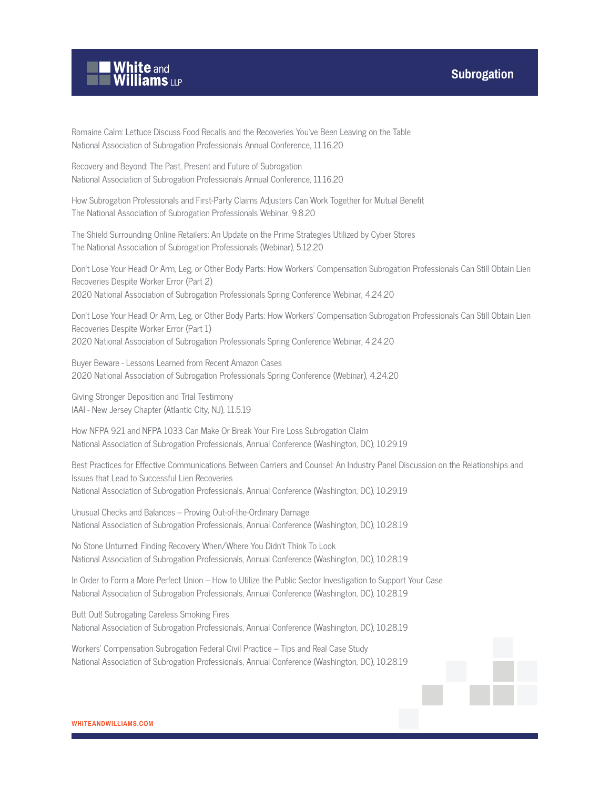



Romaine Calm: Lettuce Discuss Food Recalls and the Recoveries You've Been Leaving on the Table National Association of Subrogation Professionals Annual Conference, 11.16.20

Recovery and Beyond: The Past, Present and Future of Subrogation National Association of Subrogation Professionals Annual Conference, 11.16.20

How Subrogation Professionals and First-Party Claims Adjusters Can Work Together for Mutual Benefit The National Association of Subrogation Professionals Webinar, 9.8.20

The Shield Surrounding Online Retailers: An Update on the Prime Strategies Utilized by Cyber Stores The National Association of Subrogation Professionals (Webinar), 5.12.20

Don't Lose Your Head! Or Arm, Leg, or Other Body Parts: How Workers' Compensation Subrogation Professionals Can Still Obtain Lien Recoveries Despite Worker Error (Part 2) 2020 National Association of Subrogation Professionals Spring Conference Webinar, 4.24.20

Don't Lose Your Head! Or Arm, Leg, or Other Body Parts: How Workers' Compensation Subrogation Professionals Can Still Obtain Lien Recoveries Despite Worker Error (Part 1) 2020 National Association of Subrogation Professionals Spring Conference Webinar, 4.24.20

Buyer Beware - Lessons Learned from Recent Amazon Cases 2020 National Association of Subrogation Professionals Spring Conference (Webinar), 4.24.20

Giving Stronger Deposition and Trial Testimony IAAI - New Jersey Chapter (Atlantic City, NJ), 11.5.19

How NFPA 921 and NFPA 1033 Can Make Or Break Your Fire Loss Subrogation Claim National Association of Subrogation Professionals, Annual Conference (Washington, DC), 10.29.19

Best Practices for Effective Communications Between Carriers and Counsel: An Industry Panel Discussion on the Relationships and Issues that Lead to Successful Lien Recoveries National Association of Subrogation Professionals, Annual Conference (Washington, DC), 10.29.19

Unusual Checks and Balances – Proving Out-of-the-Ordinary Damage National Association of Subrogation Professionals, Annual Conference (Washington, DC), 10.28.19

No Stone Unturned: Finding Recovery When/Where You Didn't Think To Look National Association of Subrogation Professionals, Annual Conference (Washington, DC), 10.28.19

In Order to Form a More Perfect Union – How to Utilize the Public Sector Investigation to Support Your Case National Association of Subrogation Professionals, Annual Conference (Washington, DC), 10.28.19

Butt Out! Subrogating Careless Smoking Fires National Association of Subrogation Professionals, Annual Conference (Washington, DC), 10.28.19

Workers' Compensation Subrogation Federal Civil Practice – Tips and Real Case Study National Association of Subrogation Professionals, Annual Conference (Washington, DC), 10.28.19

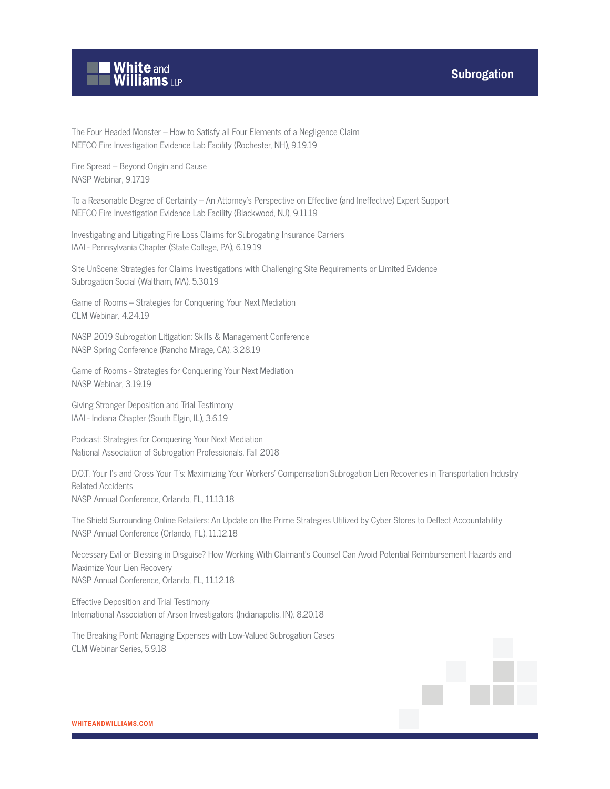

The Four Headed Monster – How to Satisfy all Four Elements of a Negligence Claim NEFCO Fire Investigation Evidence Lab Facility (Rochester, NH), 9.19.19

Fire Spread – Beyond Origin and Cause NASP Webinar, 9.17.19

To a Reasonable Degree of Certainty – An Attorney's Perspective on Effective (and Ineffective) Expert Support NEFCO Fire Investigation Evidence Lab Facility (Blackwood, NJ), 9.11.19

Investigating and Litigating Fire Loss Claims for Subrogating Insurance Carriers IAAI - Pennsylvania Chapter (State College, PA), 6.19.19

Site UnScene: Strategies for Claims Investigations with Challenging Site Requirements or Limited Evidence Subrogation Social (Waltham, MA), 5.30.19

Game of Rooms – Strategies for Conquering Your Next Mediation CLM Webinar, 4.24.19

NASP 2019 Subrogation Litigation: Skills & Management Conference NASP Spring Conference (Rancho Mirage, CA), 3.28.19

Game of Rooms - Strategies for Conquering Your Next Mediation NASP Webinar, 3.19.19

Giving Stronger Deposition and Trial Testimony IAAI - Indiana Chapter (South Elgin, IL), 3.6.19

Podcast: Strategies for Conquering Your Next Mediation National Association of Subrogation Professionals, Fall 2018

D.O.T. Your I's and Cross Your T's: Maximizing Your Workers' Compensation Subrogation Lien Recoveries in Transportation Industry Related Accidents NASP Annual Conference, Orlando, FL, 11.13.18

The Shield Surrounding Online Retailers: An Update on the Prime Strategies Utilized by Cyber Stores to Deflect Accountability NASP Annual Conference (Orlando, FL), 11.12.18

Necessary Evil or Blessing in Disguise? How Working With Claimant's Counsel Can Avoid Potential Reimbursement Hazards and Maximize Your Lien Recovery NASP Annual Conference, Orlando, FL, 11.12.18

Effective Deposition and Trial Testimony International Association of Arson Investigators (Indianapolis, IN), 8.20.18

The Breaking Point: Managing Expenses with Low-Valued Subrogation Cases CLM Webinar Series, 5.9.18

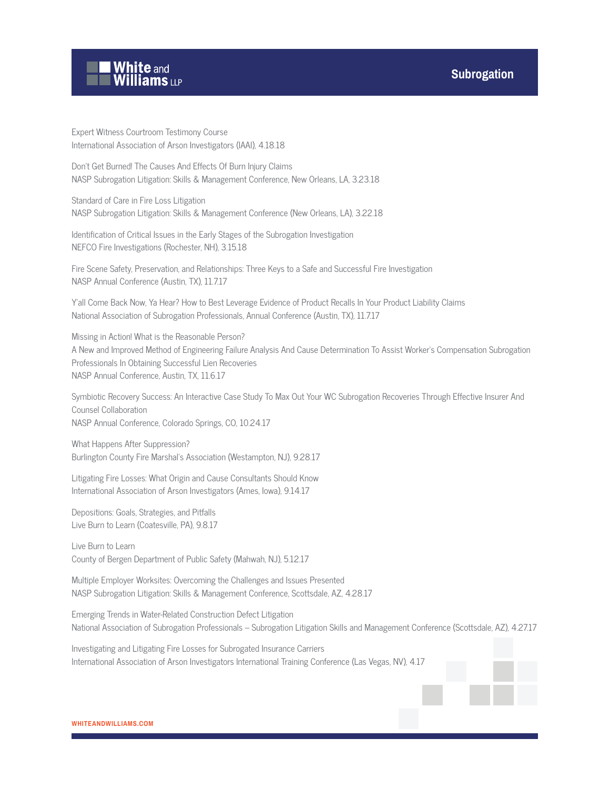

Expert Witness Courtroom Testimony Course International Association of Arson Investigators (IAAI), 4.18.18

Don't Get Burned! The Causes And Effects Of Burn Injury Claims NASP Subrogation Litigation: Skills & Management Conference, New Orleans, LA, 3.23.18

Standard of Care in Fire Loss Litigation NASP Subrogation Litigation: Skills & Management Conference (New Orleans, LA), 3.22.18

Identification of Critical Issues in the Early Stages of the Subrogation Investigation NEFCO Fire Investigations (Rochester, NH), 3.15.18

Fire Scene Safety, Preservation, and Relationships: Three Keys to a Safe and Successful Fire Investigation NASP Annual Conference (Austin, TX), 11.7.17

Y'all Come Back Now, Ya Hear? How to Best Leverage Evidence of Product Recalls In Your Product Liability Claims National Association of Subrogation Professionals, Annual Conference (Austin, TX), 11.7.17

Missing in Action! What is the Reasonable Person? A New and Improved Method of Engineering Failure Analysis And Cause Determination To Assist Worker's Compensation Subrogation Professionals In Obtaining Successful Lien Recoveries NASP Annual Conference, Austin, TX, 11.6.17

Symbiotic Recovery Success: An Interactive Case Study To Max Out Your WC Subrogation Recoveries Through Effective Insurer And Counsel Collaboration NASP Annual Conference, Colorado Springs, CO, 10.24.17

What Happens After Suppression? Burlington County Fire Marshal's Association (Westampton, NJ), 9.28.17

Litigating Fire Losses: What Origin and Cause Consultants Should Know International Association of Arson Investigators (Ames, Iowa), 9.14.17

Depositions: Goals, Strategies, and Pitfalls Live Burn to Learn (Coatesville, PA), 9.8.17

Live Burn to Learn County of Bergen Department of Public Safety (Mahwah, NJ), 5.12.17

Multiple Employer Worksites: Overcoming the Challenges and Issues Presented NASP Subrogation Litigation: Skills & Management Conference, Scottsdale, AZ, 4.28.17

Emerging Trends in Water-Related Construction Defect Litigation National Association of Subrogation Professionals – Subrogation Litigation Skills and Management Conference (Scottsdale, AZ), 4.27.17

Investigating and Litigating Fire Losses for Subrogated Insurance Carriers International Association of Arson Investigators International Training Conference (Las Vegas, NV), 4.17